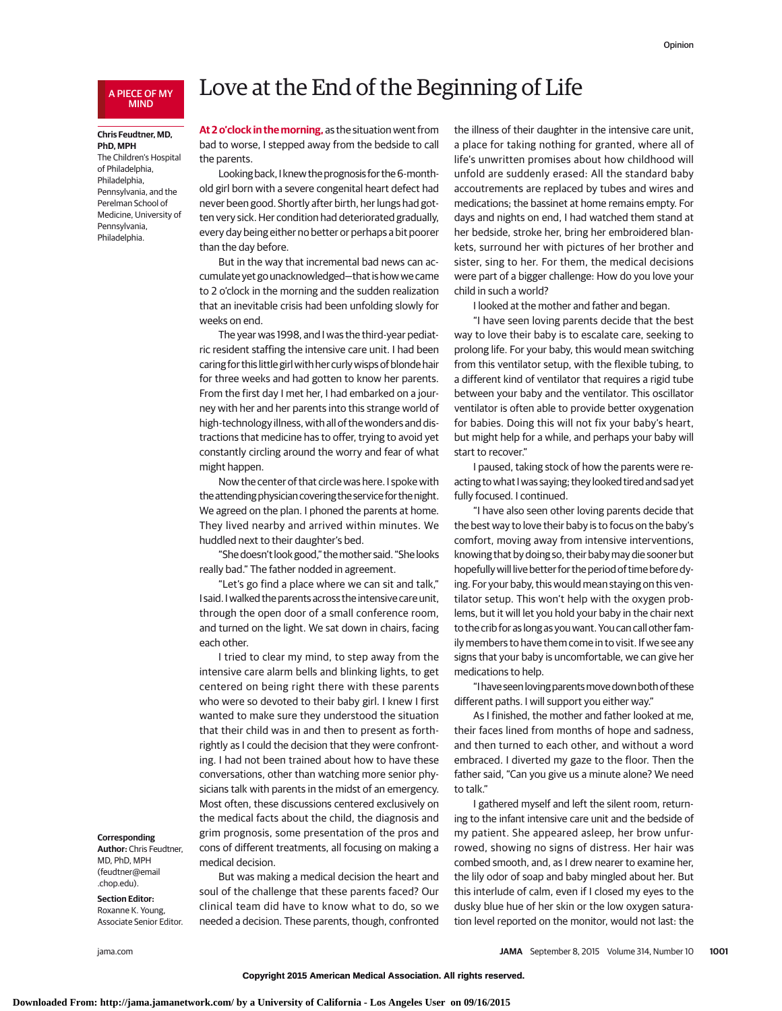## A PIECE OF MY MIND

### **Chris Feudtner, MD, PhD, MPH**

The Children's Hospital of Philadelphia, Philadelphia, Pennsylvania, and the Perelman School of Medicine, University of Pennsylvania, Philadelphia.

#### **Corresponding**

**Author:** Chris Feudtner, MD, PhD, MPH (feudtner@email .chop.edu).

#### **Section Editor:** Roxanne K. Young,

Associate Senior Editor.

# Love at the End of the Beginning of Life

**At 2 o'clock in the morning,** as the situation went from bad to worse, I stepped away from the bedside to call the parents.

Looking back, I knew the prognosis for the 6-monthold girl born with a severe congenital heart defect had never been good. Shortly after birth, her lungs had gotten very sick. Her condition had deteriorated gradually, every day being either no better or perhaps a bit poorer than the day before.

But in the way that incremental bad news can accumulate yet go unacknowledged—that is how we came to 2 o'clock in the morning and the sudden realization that an inevitable crisis had been unfolding slowly for weeks on end.

The year was 1998, and I was the third-year pediatric resident staffing the intensive care unit. I had been caring for this little girl with her curly wisps of blonde hair for three weeks and had gotten to know her parents. From the first day I met her, I had embarked on a journey with her and her parents into this strange world of high-technology illness, with all of the wonders and distractions that medicine has to offer, trying to avoid yet constantly circling around the worry and fear of what might happen.

Now the center of that circle was here. I spoke with the attending physician covering the service for the night. We agreed on the plan. I phoned the parents at home. They lived nearby and arrived within minutes. We huddled next to their daughter's bed.

"She doesn't look good," themother said. "She looks really bad." The father nodded in agreement.

"Let's go find a place where we can sit and talk," I said. I walked the parents across the intensive care unit, through the open door of a small conference room, and turned on the light. We sat down in chairs, facing each other.

I tried to clear my mind, to step away from the intensive care alarm bells and blinking lights, to get centered on being right there with these parents who were so devoted to their baby girl. I knew I first wanted to make sure they understood the situation that their child was in and then to present as forthrightly as I could the decision that they were confronting. I had not been trained about how to have these conversations, other than watching more senior physicians talk with parents in the midst of an emergency. Most often, these discussions centered exclusively on the medical facts about the child, the diagnosis and grim prognosis, some presentation of the pros and cons of different treatments, all focusing on making a medical decision.

But was making a medical decision the heart and soul of the challenge that these parents faced? Our clinical team did have to know what to do, so we needed a decision. These parents, though, confronted the illness of their daughter in the intensive care unit, a place for taking nothing for granted, where all of life's unwritten promises about how childhood will unfold are suddenly erased: All the standard baby accoutrements are replaced by tubes and wires and medications; the bassinet at home remains empty. For days and nights on end, I had watched them stand at her bedside, stroke her, bring her embroidered blankets, surround her with pictures of her brother and sister, sing to her. For them, the medical decisions were part of a bigger challenge: How do you love your child in such a world?

I looked at the mother and father and began.

"I have seen loving parents decide that the best way to love their baby is to escalate care, seeking to prolong life. For your baby, this would mean switching from this ventilator setup, with the flexible tubing, to a different kind of ventilator that requires a rigid tube between your baby and the ventilator. This oscillator ventilator is often able to provide better oxygenation for babies. Doing this will not fix your baby's heart, but might help for a while, and perhaps your baby will start to recover."

I paused, taking stock of how the parents were reacting to what I was saying; they looked tired and sad yet fully focused. I continued.

"I have also seen other loving parents decide that the best way to love their baby is to focus on the baby's comfort, moving away from intensive interventions, knowing that by doing so, their babymay die sooner but hopefully will live better for the period of time before dying. For your baby, this would mean staying on this ventilator setup. This won't help with the oxygen problems, but it will let you hold your baby in the chair next to the crib for as long as you want. You can call other family members to have them come in to visit. If we see any signs that your baby is uncomfortable, we can give her medications to help.

"I have seen loving parentsmove down both of these different paths. I will support you either way."

As I finished, the mother and father looked at me, their faces lined from months of hope and sadness, and then turned to each other, and without a word embraced. I diverted my gaze to the floor. Then the father said, "Can you give us a minute alone? We need to talk."

I gathered myself and left the silent room, returning to the infant intensive care unit and the bedside of my patient. She appeared asleep, her brow unfurrowed, showing no signs of distress. Her hair was combed smooth, and, as I drew nearer to examine her, the lily odor of soap and baby mingled about her. But this interlude of calm, even if I closed my eyes to the dusky blue hue of her skin or the low oxygen saturation level reported on the monitor, would not last: the